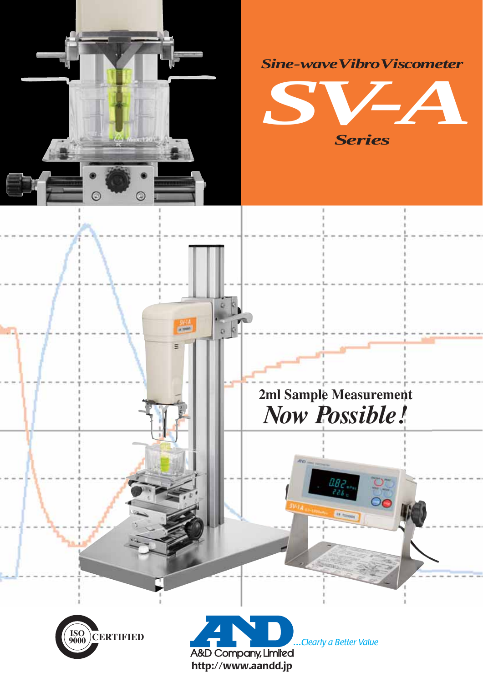

 $rac{50.14}{100}$ 

E

 $\alpha$ 





# 2ml Sample Measurement Now Possible!

 $\overline{\mathsf{C}}$ 





Clearly a Better Value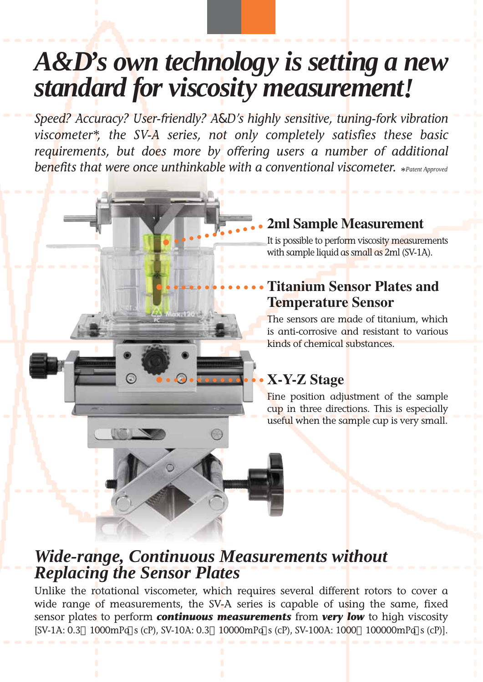# *A&D's own technology is setting a new standard for viscosity measurement!*

benefits that were once unthinkable with a conventional vi<mark>s</mark>cometer. \*Patent Approvea *Speed? Accuracy? User-friendly? A&D's highly sensitive, tuning-fork vibration viscometer\*, the SV-A series, not only completely satisfies these basic requirements, but does more by offering users a number of additional* 

### **2ml Sample Measurement** *•••••••••••••*

It is possible to perform viscosity measurements with sample liquid as small as 2ml (SV-1A).

#### **Titanium Sensor Plates and Temperature Sensor** *••••••••••••••*

The sensors are made of titanium, which is anti-corrosive and resistant to various kinds of chemical substances.

### **X-Y-Z Stage**

Fine position adjustment of the sample cup in three directions. This is especially useful when the sample cup is very small.

## *Wide-range, Continuous Measurements without Replacing the Sensor Plates*

*••••••••••••••*

Unlike the rotational viscometer, which requires several different rotors to cover a wide range of measurements, the SV-A series is capable of using the same, fixed sensor plates to perform *continuous measurements* from *very low* to high viscosity [SV-1A: 0.3 1000mPa s (cP), SV-10A: 0.3 10000mPa s (cP), SV-100A: 1000 100000mPa s (cP)].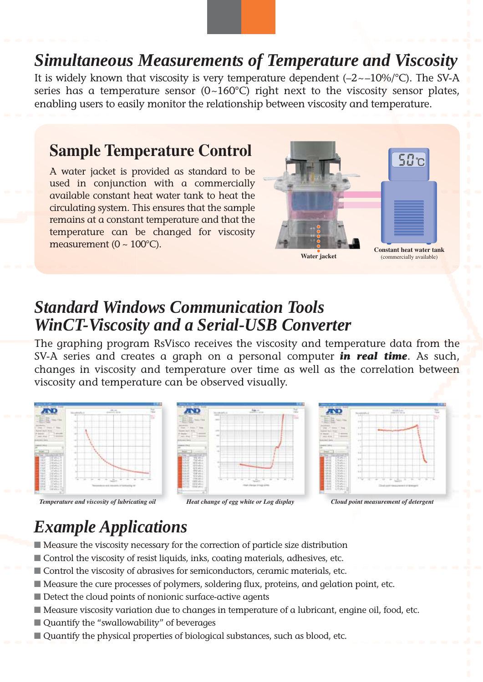## *Simultaneous Measurements of Temperature and Viscosity*

It is widely known that viscosity is very temperature dependent  $(-2 \sim -10\%)$ <sup>o</sup>C). The SV-A series has a temperature sensor  $(0-160^{\circ}C)$  right next to the viscosity sensor plates, enabling users to easily monitor the relationship between viscosity and temperature.

### **Sample Temperature Control**

A water jacket is provided as standard to be used in conjunction with a commercially available constant heat water tank to heat the circulating system. This ensures that the sample remains at a constant temperature and that the temperature can be changed for viscosity measurement ( $0 \sim 100^{\circ}$ C).



## *Standard Windows Communication Tools WinCT-Viscosity and a Serial-USB Converter*

The graphing program RsVisco receives the viscosity and temperature data from the SV-A series and creates a graph on a personal computer *in real time*. As such, changes in viscosity and temperature over time as well as the correlation between viscosity and temperature can be observed visually.



## *Example Applications*

- Measure the viscosity necessary for the correction of particle size distribution
- Control the viscosity of resist liquids, inks, coating materials, adhesives, etc.
- Control the viscosity of abrasives for semiconductors, ceramic materials, etc.
- Measure the cure processes of polymers, soldering flux, proteins, and gelation point, etc.
- Detect the cloud points of nonionic surface-active agents
- Measure viscosity variation due to changes in temperature of a lubricant, engine oil, food, etc.
- Quantify the "swallowability" of beverages
- Quantify the physical properties of biological substances, such as blood, etc.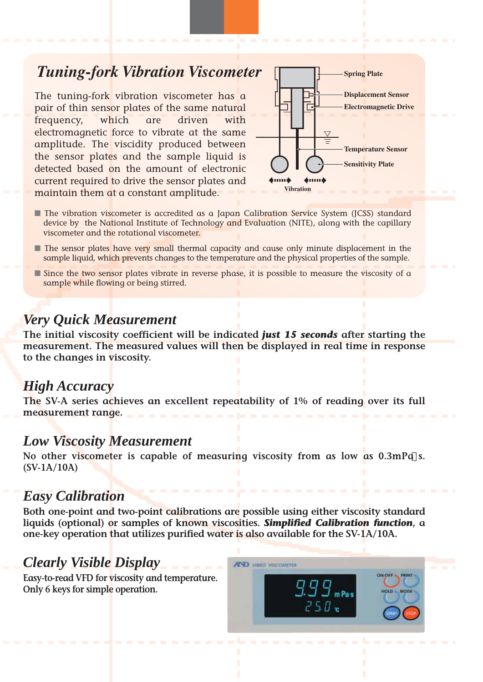## *Tuning-fork Vibration Viscometer*

The tuning-fork vibration viscometer has a pair of thin sensor plates of the same natural frequency, which are driven with electromagnetic force to vibrate at the same amplitude. The viscidity produced between the sensor plates and the sample liquid is detected based on the amount of electronic current required to drive the sensor plates and maintain them at a constant amplitude.



- The vibration viscometer is accredited as a Japan Calibration Service System (JCSS) standard device by the National Institute of Technology and Evaluation (NITE), along with the capillary viscometer and the rotational viscometer.
- The sensor plates have very small thermal capacity and cause only minute displacement in the sample liquid, which prevents changes to the temperature and the physical properties of the sample.
- Since the two sensor plates vibrate in reverse phase, it is possible to measure the viscosity of a sample while flowing or being stirred.

### *Very Quick Measurement*

**The initial viscosity coefficient will be indicated** *just 15 seconds* **after starting the measurement. The measured values will then be displayed in real time in response to the changes in viscosity.**

### *High Accuracy*

**The SV-A series achieves an excellent repeatability of 1% of reading over its full measurement range.**

#### *Low Viscosity Measurement*

**No other viscometer is capable of measuring viscosity from as low as 0.3mPa s. (SV-1A/10A)**

#### *Easy Calibration*

**Both one-point and two-point calibrations are possible using either viscosity standard liquids (optional) or samples of known viscosities.** *Simplified Calibration function***, a one-key operation that utilizes purified water is also available for the SV-1A/10A.**

### *Clearly Visible Display*

**Easy-to-read VFD for viscosity and temperature. Only 6 keys for simple operation.**

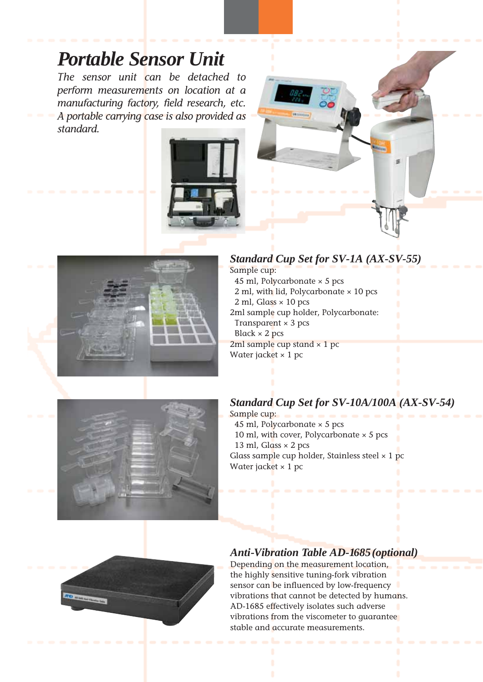# *Portable Sensor Unit*

*The sensor unit can be detached to perform measurements on location at a manufacturing factory, field research, etc. A portable carrying case is also provided as standard.*





#### *Standard Cup Set for SV-1A (AX-SV-55)*

Sample cup: 45 ml, Polycarbonate  $\times$  5 pcs 2 ml, with lid, Polycarbonate × 10 pcs  $2$  ml, Glass  $\times$  10 pcs 2ml sample cup holder, Polycarbonate: Transparent  $\times$  3 pcs Black  $\times$  2 pcs 2ml sample cup stand  $\times$  1 pc Water jacket  $\times$  1 pc



#### *Standard Cup Set for SV-10A/100A (AX-SV-54)*

Sample cup: 45 ml, Polycarbonate  $\times$  5 pcs 10 ml, with cover, Polycarbonate  $\times$  5 pcs 13 ml, Glass  $\times$  2 pcs Glass sample cup holder, Stainless steel  $\times$  1 pc Water jacket  $\times$  1 pc



#### *Anti-Vibration Table AD-1685(optional)*

Depending on the measurement location, the highly sensitive tuning-fork vibration sensor can be influenced by low-frequency vibrations that cannot be detected by humans. AD-1685 effectively isolates such adverse vibrations from the viscometer to quarantee stable and accurate measurements.